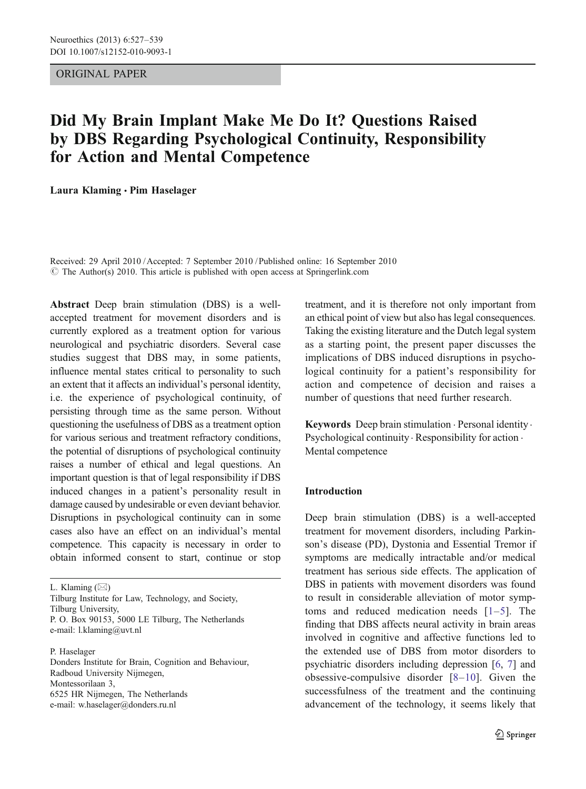## ORIGINAL PAPER

# Did My Brain Implant Make Me Do It? Questions Raised by DBS Regarding Psychological Continuity, Responsibility for Action and Mental Competence

Laura Klaming · Pim Haselager

Received: 29 April 2010 /Accepted: 7 September 2010 / Published online: 16 September 2010  $\circ$  The Author(s) 2010. This article is published with open access at Springerlink.com

Abstract Deep brain stimulation (DBS) is a wellaccepted treatment for movement disorders and is currently explored as a treatment option for various neurological and psychiatric disorders. Several case studies suggest that DBS may, in some patients, influence mental states critical to personality to such an extent that it affects an individual's personal identity, i.e. the experience of psychological continuity, of persisting through time as the same person. Without questioning the usefulness of DBS as a treatment option for various serious and treatment refractory conditions, the potential of disruptions of psychological continuity raises a number of ethical and legal questions. An important question is that of legal responsibility if DBS induced changes in a patient's personality result in damage caused by undesirable or even deviant behavior. Disruptions in psychological continuity can in some cases also have an effect on an individual's mental competence. This capacity is necessary in order to obtain informed consent to start, continue or stop

Tilburg Institute for Law, Technology, and Society, Tilburg University, P. O. Box 90153, 5000 LE Tilburg, The Netherlands

e-mail: l.klaming@uvt.nl

P. Haselager Donders Institute for Brain, Cognition and Behaviour, Radboud University Nijmegen, Montessorilaan 3, 6525 HR Nijmegen, The Netherlands e-mail: w.haselager@donders.ru.nl

treatment, and it is therefore not only important from an ethical point of view but also has legal consequences. Taking the existing literature and the Dutch legal system as a starting point, the present paper discusses the implications of DBS induced disruptions in psychological continuity for a patient's responsibility for action and competence of decision and raises a number of questions that need further research.

Keywords Deep brain stimulation . Personal identity . Psychological continuity. Responsibility for action . Mental competence

#### Introduction

Deep brain stimulation (DBS) is a well-accepted treatment for movement disorders, including Parkinson's disease (PD), Dystonia and Essential Tremor if symptoms are medically intractable and/or medical treatment has serious side effects. The application of DBS in patients with movement disorders was found to result in considerable alleviation of motor symptoms and reduced medication needs [[1](#page-9-0)–[5](#page-9-0)]. The finding that DBS affects neural activity in brain areas involved in cognitive and affective functions led to the extended use of DBS from motor disorders to psychiatric disorders including depression [[6,](#page-9-0) [7\]](#page-9-0) and obsessive-compulsive disorder [\[8](#page-9-0)–[10\]](#page-10-0). Given the successfulness of the treatment and the continuing advancement of the technology, it seems likely that

L. Klaming  $(\boxtimes)$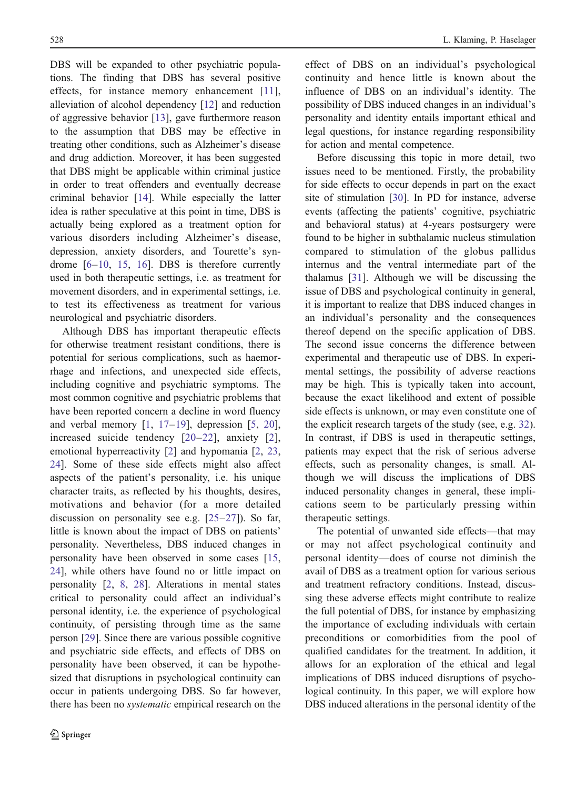DBS will be expanded to other psychiatric populations. The finding that DBS has several positive effects, for instance memory enhancement [\[11](#page-10-0)], alleviation of alcohol dependency [\[12](#page-10-0)] and reduction of aggressive behavior [[13\]](#page-10-0), gave furthermore reason to the assumption that DBS may be effective in treating other conditions, such as Alzheimer's disease and drug addiction. Moreover, it has been suggested that DBS might be applicable within criminal justice in order to treat offenders and eventually decrease criminal behavior [[14\]](#page-10-0). While especially the latter idea is rather speculative at this point in time, DBS is actually being explored as a treatment option for various disorders including Alzheimer's disease, depression, anxiety disorders, and Tourette's syndrome [[6](#page-9-0)–[10,](#page-10-0) [15,](#page-10-0) [16\]](#page-10-0). DBS is therefore currently used in both therapeutic settings, i.e. as treatment for movement disorders, and in experimental settings, i.e. to test its effectiveness as treatment for various neurological and psychiatric disorders.

Although DBS has important therapeutic effects for otherwise treatment resistant conditions, there is potential for serious complications, such as haemorrhage and infections, and unexpected side effects, including cognitive and psychiatric symptoms. The most common cognitive and psychiatric problems that have been reported concern a decline in word fluency and verbal memory  $[1, 17-19]$  $[1, 17-19]$  $[1, 17-19]$  $[1, 17-19]$  $[1, 17-19]$  $[1, 17-19]$ , depression  $[5, 20]$  $[5, 20]$  $[5, 20]$  $[5, 20]$ , increased suicide tendency [[20](#page-10-0)–[22](#page-10-0)], anxiety [\[2](#page-9-0)], emotional hyperreactivity [[2\]](#page-9-0) and hypomania [\[2](#page-9-0), [23,](#page-10-0) [24\]](#page-10-0). Some of these side effects might also affect aspects of the patient's personality, i.e. his unique character traits, as reflected by his thoughts, desires, motivations and behavior (for a more detailed discussion on personality see e.g. [[25](#page-10-0)–[27\]](#page-10-0)). So far, little is known about the impact of DBS on patients' personality. Nevertheless, DBS induced changes in personality have been observed in some cases [[15,](#page-10-0) [24\]](#page-10-0), while others have found no or little impact on personality [\[2](#page-9-0), [8](#page-9-0), [28\]](#page-10-0). Alterations in mental states critical to personality could affect an individual's personal identity, i.e. the experience of psychological continuity, of persisting through time as the same person [\[29](#page-10-0)]. Since there are various possible cognitive and psychiatric side effects, and effects of DBS on personality have been observed, it can be hypothesized that disruptions in psychological continuity can occur in patients undergoing DBS. So far however, there has been no systematic empirical research on the effect of DBS on an individual's psychological continuity and hence little is known about the influence of DBS on an individual's identity. The possibility of DBS induced changes in an individual's personality and identity entails important ethical and legal questions, for instance regarding responsibility for action and mental competence.

Before discussing this topic in more detail, two issues need to be mentioned. Firstly, the probability for side effects to occur depends in part on the exact site of stimulation [[30\]](#page-10-0). In PD for instance, adverse events (affecting the patients' cognitive, psychiatric and behavioral status) at 4-years postsurgery were found to be higher in subthalamic nucleus stimulation compared to stimulation of the globus pallidus internus and the ventral intermediate part of the thalamus [[31\]](#page-10-0). Although we will be discussing the issue of DBS and psychological continuity in general, it is important to realize that DBS induced changes in an individual's personality and the consequences thereof depend on the specific application of DBS. The second issue concerns the difference between experimental and therapeutic use of DBS. In experimental settings, the possibility of adverse reactions may be high. This is typically taken into account, because the exact likelihood and extent of possible side effects is unknown, or may even constitute one of the explicit research targets of the study (see, e.g. [32\)](#page-10-0). In contrast, if DBS is used in therapeutic settings, patients may expect that the risk of serious adverse effects, such as personality changes, is small. Although we will discuss the implications of DBS induced personality changes in general, these implications seem to be particularly pressing within therapeutic settings.

The potential of unwanted side effects—that may or may not affect psychological continuity and personal identity—does of course not diminish the avail of DBS as a treatment option for various serious and treatment refractory conditions. Instead, discussing these adverse effects might contribute to realize the full potential of DBS, for instance by emphasizing the importance of excluding individuals with certain preconditions or comorbidities from the pool of qualified candidates for the treatment. In addition, it allows for an exploration of the ethical and legal implications of DBS induced disruptions of psychological continuity. In this paper, we will explore how DBS induced alterations in the personal identity of the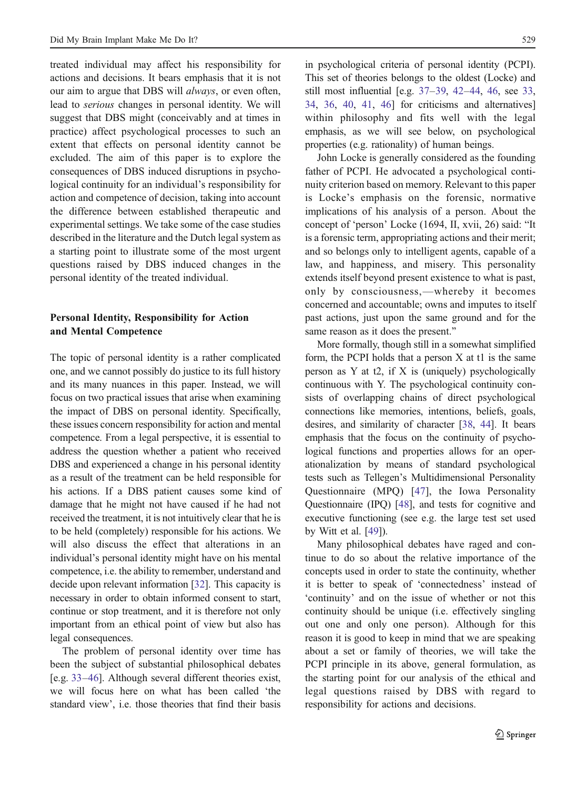treated individual may affect his responsibility for actions and decisions. It bears emphasis that it is not our aim to argue that DBS will always, or even often, lead to serious changes in personal identity. We will suggest that DBS might (conceivably and at times in practice) affect psychological processes to such an extent that effects on personal identity cannot be excluded. The aim of this paper is to explore the consequences of DBS induced disruptions in psychological continuity for an individual's responsibility for action and competence of decision, taking into account the difference between established therapeutic and experimental settings. We take some of the case studies described in the literature and the Dutch legal system as a starting point to illustrate some of the most urgent questions raised by DBS induced changes in the personal identity of the treated individual.

# Personal Identity, Responsibility for Action and Mental Competence

The topic of personal identity is a rather complicated one, and we cannot possibly do justice to its full history and its many nuances in this paper. Instead, we will focus on two practical issues that arise when examining the impact of DBS on personal identity. Specifically, these issues concern responsibility for action and mental competence. From a legal perspective, it is essential to address the question whether a patient who received DBS and experienced a change in his personal identity as a result of the treatment can be held responsible for his actions. If a DBS patient causes some kind of damage that he might not have caused if he had not received the treatment, it is not intuitively clear that he is to be held (completely) responsible for his actions. We will also discuss the effect that alterations in an individual's personal identity might have on his mental competence, i.e. the ability to remember, understand and decide upon relevant information [[32](#page-10-0)]. This capacity is necessary in order to obtain informed consent to start, continue or stop treatment, and it is therefore not only important from an ethical point of view but also has legal consequences.

The problem of personal identity over time has been the subject of substantial philosophical debates [e.g. [33](#page-10-0)–[46](#page-11-0)]. Although several different theories exist, we will focus here on what has been called 'the standard view', i.e. those theories that find their basis in psychological criteria of personal identity (PCPI). This set of theories belongs to the oldest (Locke) and still most influential [e.g. [37](#page-10-0)–[39,](#page-10-0) [42](#page-11-0)–[44,](#page-11-0) [46,](#page-11-0) see [33,](#page-10-0) [34,](#page-10-0) [36](#page-10-0), [40](#page-10-0), [41,](#page-11-0) [46](#page-11-0)] for criticisms and alternatives] within philosophy and fits well with the legal emphasis, as we will see below, on psychological properties (e.g. rationality) of human beings.

John Locke is generally considered as the founding father of PCPI. He advocated a psychological continuity criterion based on memory. Relevant to this paper is Locke's emphasis on the forensic, normative implications of his analysis of a person. About the concept of 'person' Locke (1694, II, xvii, 26) said: "It is a forensic term, appropriating actions and their merit; and so belongs only to intelligent agents, capable of a law, and happiness, and misery. This personality extends itself beyond present existence to what is past, only by consciousness,—whereby it becomes concerned and accountable; owns and imputes to itself past actions, just upon the same ground and for the same reason as it does the present."

More formally, though still in a somewhat simplified form, the PCPI holds that a person  $X$  at t1 is the same person as Y at t2, if X is (uniquely) psychologically continuous with Y. The psychological continuity consists of overlapping chains of direct psychological connections like memories, intentions, beliefs, goals, desires, and similarity of character [[38](#page-10-0), [44](#page-11-0)]. It bears emphasis that the focus on the continuity of psychological functions and properties allows for an operationalization by means of standard psychological tests such as Tellegen's Multidimensional Personality Questionnaire (MPQ) [\[47](#page-11-0)], the Iowa Personality Questionnaire (IPQ) [\[48\]](#page-11-0), and tests for cognitive and executive functioning (see e.g. the large test set used by Witt et al. [[49\]](#page-11-0)).

Many philosophical debates have raged and continue to do so about the relative importance of the concepts used in order to state the continuity, whether it is better to speak of 'connectedness' instead of 'continuity' and on the issue of whether or not this continuity should be unique (i.e. effectively singling out one and only one person). Although for this reason it is good to keep in mind that we are speaking about a set or family of theories, we will take the PCPI principle in its above, general formulation, as the starting point for our analysis of the ethical and legal questions raised by DBS with regard to responsibility for actions and decisions.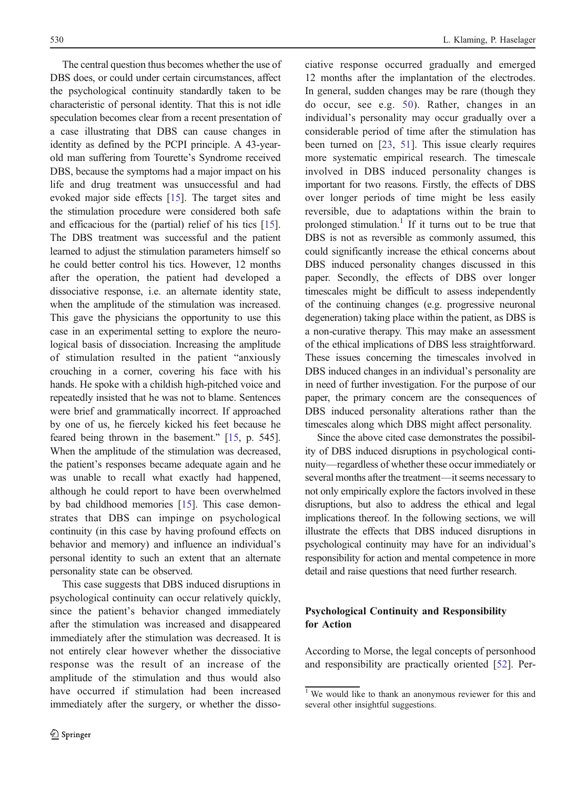The central question thus becomes whether the use of DBS does, or could under certain circumstances, affect the psychological continuity standardly taken to be characteristic of personal identity. That this is not idle speculation becomes clear from a recent presentation of a case illustrating that DBS can cause changes in identity as defined by the PCPI principle. A 43-yearold man suffering from Tourette's Syndrome received DBS, because the symptoms had a major impact on his life and drug treatment was unsuccessful and had evoked major side effects [\[15\]](#page-10-0). The target sites and the stimulation procedure were considered both safe and efficacious for the (partial) relief of his tics [[15\]](#page-10-0). The DBS treatment was successful and the patient learned to adjust the stimulation parameters himself so he could better control his tics. However, 12 months after the operation, the patient had developed a dissociative response, i.e. an alternate identity state, when the amplitude of the stimulation was increased. This gave the physicians the opportunity to use this case in an experimental setting to explore the neurological basis of dissociation. Increasing the amplitude of stimulation resulted in the patient "anxiously crouching in a corner, covering his face with his hands. He spoke with a childish high-pitched voice and repeatedly insisted that he was not to blame. Sentences were brief and grammatically incorrect. If approached by one of us, he fiercely kicked his feet because he feared being thrown in the basement." [\[15,](#page-10-0) p. 545]. When the amplitude of the stimulation was decreased, the patient's responses became adequate again and he was unable to recall what exactly had happened, although he could report to have been overwhelmed by bad childhood memories [\[15](#page-10-0)]. This case demonstrates that DBS can impinge on psychological continuity (in this case by having profound effects on behavior and memory) and influence an individual's personal identity to such an extent that an alternate personality state can be observed.

This case suggests that DBS induced disruptions in psychological continuity can occur relatively quickly, since the patient's behavior changed immediately after the stimulation was increased and disappeared immediately after the stimulation was decreased. It is not entirely clear however whether the dissociative response was the result of an increase of the amplitude of the stimulation and thus would also have occurred if stimulation had been increased immediately after the surgery, or whether the dissociative response occurred gradually and emerged 12 months after the implantation of the electrodes. In general, sudden changes may be rare (though they do occur, see e.g. [50](#page-11-0)). Rather, changes in an individual's personality may occur gradually over a considerable period of time after the stimulation has been turned on [[23,](#page-10-0) [51\]](#page-11-0). This issue clearly requires more systematic empirical research. The timescale involved in DBS induced personality changes is important for two reasons. Firstly, the effects of DBS over longer periods of time might be less easily reversible, due to adaptations within the brain to prolonged stimulation.<sup>1</sup> If it turns out to be true that DBS is not as reversible as commonly assumed, this could significantly increase the ethical concerns about DBS induced personality changes discussed in this paper. Secondly, the effects of DBS over longer timescales might be difficult to assess independently of the continuing changes (e.g. progressive neuronal degeneration) taking place within the patient, as DBS is a non-curative therapy. This may make an assessment of the ethical implications of DBS less straightforward. These issues concerning the timescales involved in DBS induced changes in an individual's personality are in need of further investigation. For the purpose of our paper, the primary concern are the consequences of DBS induced personality alterations rather than the timescales along which DBS might affect personality.

Since the above cited case demonstrates the possibility of DBS induced disruptions in psychological continuity—regardless of whether these occur immediately or several months after the treatment—it seems necessary to not only empirically explore the factors involved in these disruptions, but also to address the ethical and legal implications thereof. In the following sections, we will illustrate the effects that DBS induced disruptions in psychological continuity may have for an individual's responsibility for action and mental competence in more detail and raise questions that need further research.

# Psychological Continuity and Responsibility for Action

According to Morse, the legal concepts of personhood and responsibility are practically oriented [[52\]](#page-11-0). Per-

<sup>&</sup>lt;sup>1</sup> We would like to thank an anonymous reviewer for this and several other insightful suggestions.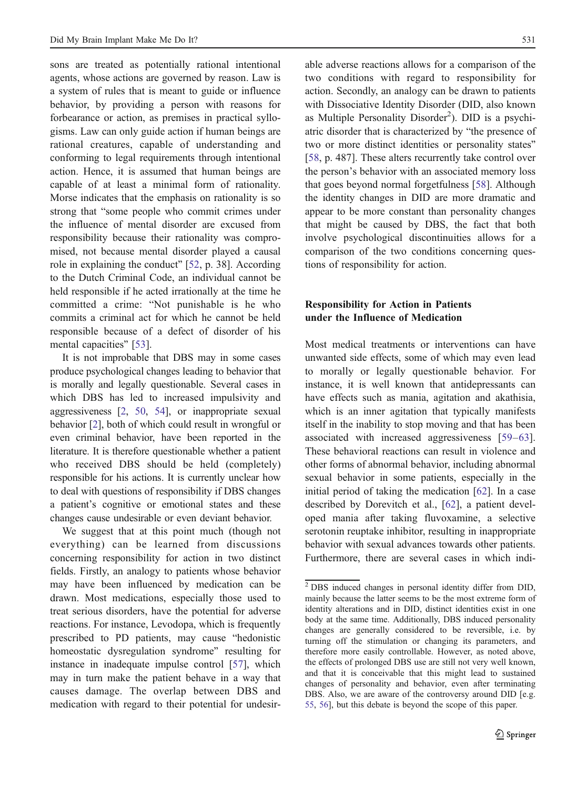sons are treated as potentially rational intentional agents, whose actions are governed by reason. Law is a system of rules that is meant to guide or influence behavior, by providing a person with reasons for forbearance or action, as premises in practical syllogisms. Law can only guide action if human beings are rational creatures, capable of understanding and conforming to legal requirements through intentional action. Hence, it is assumed that human beings are capable of at least a minimal form of rationality. Morse indicates that the emphasis on rationality is so strong that "some people who commit crimes under the influence of mental disorder are excused from responsibility because their rationality was compromised, not because mental disorder played a causal role in explaining the conduct" [\[52](#page-11-0), p. 38]. According to the Dutch Criminal Code, an individual cannot be held responsible if he acted irrationally at the time he committed a crime: "Not punishable is he who commits a criminal act for which he cannot be held responsible because of a defect of disorder of his mental capacities" [\[53](#page-11-0)].

It is not improbable that DBS may in some cases produce psychological changes leading to behavior that is morally and legally questionable. Several cases in which DBS has led to increased impulsivity and aggressiveness [[2,](#page-9-0) [50,](#page-11-0) [54](#page-11-0)], or inappropriate sexual behavior [[2](#page-9-0)], both of which could result in wrongful or even criminal behavior, have been reported in the literature. It is therefore questionable whether a patient who received DBS should be held (completely) responsible for his actions. It is currently unclear how to deal with questions of responsibility if DBS changes a patient's cognitive or emotional states and these changes cause undesirable or even deviant behavior.

We suggest that at this point much (though not everything) can be learned from discussions concerning responsibility for action in two distinct fields. Firstly, an analogy to patients whose behavior may have been influenced by medication can be drawn. Most medications, especially those used to treat serious disorders, have the potential for adverse reactions. For instance, Levodopa, which is frequently prescribed to PD patients, may cause "hedonistic homeostatic dysregulation syndrome" resulting for instance in inadequate impulse control [\[57](#page-11-0)], which may in turn make the patient behave in a way that causes damage. The overlap between DBS and medication with regard to their potential for undesirable adverse reactions allows for a comparison of the two conditions with regard to responsibility for action. Secondly, an analogy can be drawn to patients with Dissociative Identity Disorder (DID, also known as Multiple Personality Disorder<sup>2</sup>). DID is a psychiatric disorder that is characterized by "the presence of two or more distinct identities or personality states" [\[58](#page-11-0), p. 487]. These alters recurrently take control over the person's behavior with an associated memory loss that goes beyond normal forgetfulness [\[58](#page-11-0)]. Although the identity changes in DID are more dramatic and appear to be more constant than personality changes that might be caused by DBS, the fact that both involve psychological discontinuities allows for a comparison of the two conditions concerning questions of responsibility for action.

### Responsibility for Action in Patients under the Influence of Medication

Most medical treatments or interventions can have unwanted side effects, some of which may even lead to morally or legally questionable behavior. For instance, it is well known that antidepressants can have effects such as mania, agitation and akathisia, which is an inner agitation that typically manifests itself in the inability to stop moving and that has been associated with increased aggressiveness [[59](#page-11-0)–[63\]](#page-11-0). These behavioral reactions can result in violence and other forms of abnormal behavior, including abnormal sexual behavior in some patients, especially in the initial period of taking the medication [\[62](#page-11-0)]. In a case described by Dorevitch et al., [[62\]](#page-11-0), a patient developed mania after taking fluvoxamine, a selective serotonin reuptake inhibitor, resulting in inappropriate behavior with sexual advances towards other patients. Furthermore, there are several cases in which indi-

<sup>2</sup> DBS induced changes in personal identity differ from DID, mainly because the latter seems to be the most extreme form of identity alterations and in DID, distinct identities exist in one body at the same time. Additionally, DBS induced personality changes are generally considered to be reversible, i.e. by turning off the stimulation or changing its parameters, and therefore more easily controllable. However, as noted above, the effects of prolonged DBS use are still not very well known, and that it is conceivable that this might lead to sustained changes of personality and behavior, even after terminating DBS. Also, we are aware of the controversy around DID [e.g.] [55](#page-11-0), [56\]](#page-11-0), but this debate is beyond the scope of this paper.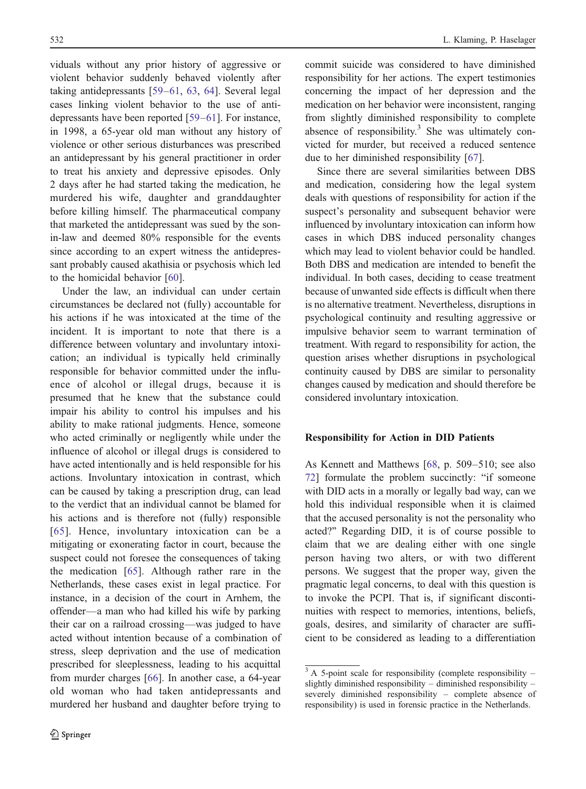viduals without any prior history of aggressive or violent behavior suddenly behaved violently after taking antidepressants [\[59](#page-11-0)–[61](#page-11-0), [63](#page-11-0), [64\]](#page-11-0). Several legal cases linking violent behavior to the use of antidepressants have been reported [[59](#page-11-0)–[61\]](#page-11-0). For instance, in 1998, a 65-year old man without any history of violence or other serious disturbances was prescribed an antidepressant by his general practitioner in order to treat his anxiety and depressive episodes. Only 2 days after he had started taking the medication, he murdered his wife, daughter and granddaughter before killing himself. The pharmaceutical company that marketed the antidepressant was sued by the sonin-law and deemed 80% responsible for the events since according to an expert witness the antidepressant probably caused akathisia or psychosis which led to the homicidal behavior [\[60](#page-11-0)].

Under the law, an individual can under certain circumstances be declared not (fully) accountable for his actions if he was intoxicated at the time of the incident. It is important to note that there is a difference between voluntary and involuntary intoxication; an individual is typically held criminally responsible for behavior committed under the influence of alcohol or illegal drugs, because it is presumed that he knew that the substance could impair his ability to control his impulses and his ability to make rational judgments. Hence, someone who acted criminally or negligently while under the influence of alcohol or illegal drugs is considered to have acted intentionally and is held responsible for his actions. Involuntary intoxication in contrast, which can be caused by taking a prescription drug, can lead to the verdict that an individual cannot be blamed for his actions and is therefore not (fully) responsible [[65\]](#page-11-0). Hence, involuntary intoxication can be a mitigating or exonerating factor in court, because the suspect could not foresee the consequences of taking the medication [[65\]](#page-11-0). Although rather rare in the Netherlands, these cases exist in legal practice. For instance, in a decision of the court in Arnhem, the offender—a man who had killed his wife by parking their car on a railroad crossing—was judged to have acted without intention because of a combination of stress, sleep deprivation and the use of medication prescribed for sleeplessness, leading to his acquittal from murder charges [[66\]](#page-11-0). In another case, a 64-year old woman who had taken antidepressants and murdered her husband and daughter before trying to

commit suicide was considered to have diminished responsibility for her actions. The expert testimonies concerning the impact of her depression and the medication on her behavior were inconsistent, ranging from slightly diminished responsibility to complete absence of responsibility. $3$  She was ultimately convicted for murder, but received a reduced sentence due to her diminished responsibility [[67\]](#page-11-0).

Since there are several similarities between DBS and medication, considering how the legal system deals with questions of responsibility for action if the suspect's personality and subsequent behavior were influenced by involuntary intoxication can inform how cases in which DBS induced personality changes which may lead to violent behavior could be handled. Both DBS and medication are intended to benefit the individual. In both cases, deciding to cease treatment because of unwanted side effects is difficult when there is no alternative treatment. Nevertheless, disruptions in psychological continuity and resulting aggressive or impulsive behavior seem to warrant termination of treatment. With regard to responsibility for action, the question arises whether disruptions in psychological continuity caused by DBS are similar to personality changes caused by medication and should therefore be considered involuntary intoxication.

#### Responsibility for Action in DID Patients

As Kennett and Matthews [[68,](#page-11-0) p. 509–510; see also [72\]](#page-11-0) formulate the problem succinctly: "if someone with DID acts in a morally or legally bad way, can we hold this individual responsible when it is claimed that the accused personality is not the personality who acted?" Regarding DID, it is of course possible to claim that we are dealing either with one single person having two alters, or with two different persons. We suggest that the proper way, given the pragmatic legal concerns, to deal with this question is to invoke the PCPI. That is, if significant discontinuities with respect to memories, intentions, beliefs, goals, desires, and similarity of character are sufficient to be considered as leading to a differentiation

 $3$  A 5-point scale for responsibility (complete responsibility  $$ slightly diminished responsibility – diminished responsibility – severely diminished responsibility – complete absence of responsibility) is used in forensic practice in the Netherlands.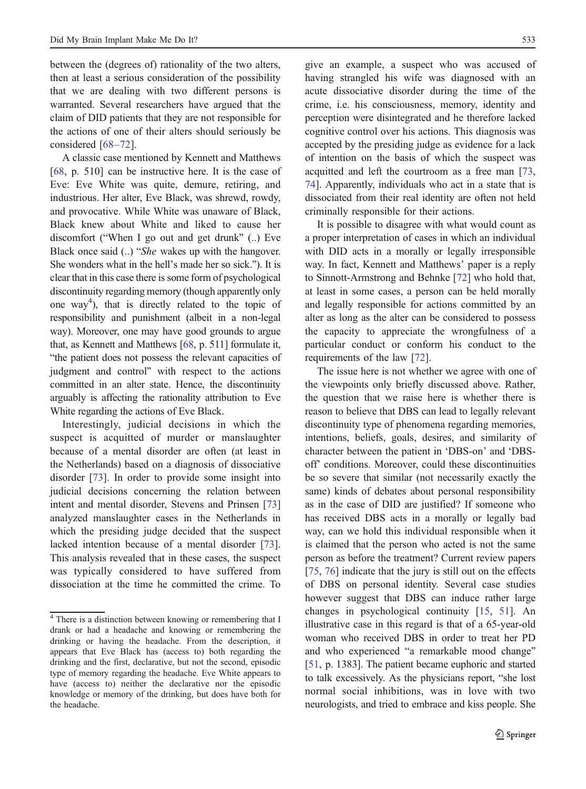between the (degrees of) rationality of the two alters, then at least a serious consideration of the possibility that we are dealing with two different persons is warranted. Several researchers have argued that the claim of DID patients that they are not responsible for the actions of one of their alters should seriously be considered [\[68](#page-11-0)–[72](#page-11-0)].

A classic case mentioned by Kennett and Matthews [[68,](#page-11-0) p. 510] can be instructive here. It is the case of Eve: Eve White was quite, demure, retiring, and industrious. Her alter, Eve Black, was shrewd, rowdy, and provocative. While White was unaware of Black, Black knew about White and liked to cause her discomfort ("When I go out and get drunk" (..) Eve Black once said (..) "She wakes up with the hangover. She wonders what in the hell's made her so sick."). It is clear that in this case there is some form of psychological discontinuity regarding memory (though apparently only one way<sup>4</sup>), that is directly related to the topic of responsibility and punishment (albeit in a non-legal way). Moreover, one may have good grounds to argue that, as Kennett and Matthews [\[68,](#page-11-0) p. 511] formulate it, "the patient does not possess the relevant capacities of judgment and control" with respect to the actions committed in an alter state. Hence, the discontinuity arguably is affecting the rationality attribution to Eve White regarding the actions of Eve Black.

Interestingly, judicial decisions in which the suspect is acquitted of murder or manslaughter because of a mental disorder are often (at least in the Netherlands) based on a diagnosis of dissociative disorder [[73\]](#page-11-0). In order to provide some insight into judicial decisions concerning the relation between intent and mental disorder, Stevens and Prinsen [[73\]](#page-11-0) analyzed manslaughter cases in the Netherlands in which the presiding judge decided that the suspect lacked intention because of a mental disorder [[73](#page-11-0)]. This analysis revealed that in these cases, the suspect was typically considered to have suffered from dissociation at the time he committed the crime. To give an example, a suspect who was accused of having strangled his wife was diagnosed with an acute dissociative disorder during the time of the crime, i.e. his consciousness, memory, identity and perception were disintegrated and he therefore lacked cognitive control over his actions. This diagnosis was accepted by the presiding judge as evidence for a lack of intention on the basis of which the suspect was acquitted and left the courtroom as a free man [[73,](#page-11-0) [74\]](#page-11-0). Apparently, individuals who act in a state that is dissociated from their real identity are often not held criminally responsible for their actions.

It is possible to disagree with what would count as a proper interpretation of cases in which an individual with DID acts in a morally or legally irresponsible way. In fact, Kennett and Matthews' paper is a reply to Sinnott-Armstrong and Behnke [[72](#page-11-0)] who hold that, at least in some cases, a person can be held morally and legally responsible for actions committed by an alter as long as the alter can be considered to possess the capacity to appreciate the wrongfulness of a particular conduct or conform his conduct to the requirements of the law [\[72](#page-11-0)].

The issue here is not whether we agree with one of the viewpoints only briefly discussed above. Rather, the question that we raise here is whether there is reason to believe that DBS can lead to legally relevant discontinuity type of phenomena regarding memories, intentions, beliefs, goals, desires, and similarity of character between the patient in 'DBS-on' and 'DBSoff' conditions. Moreover, could these discontinuities be so severe that similar (not necessarily exactly the same) kinds of debates about personal responsibility as in the case of DID are justified? If someone who has received DBS acts in a morally or legally bad way, can we hold this individual responsible when it is claimed that the person who acted is not the same person as before the treatment? Current review papers [\[75](#page-11-0), [76](#page-11-0)] indicate that the jury is still out on the effects of DBS on personal identity. Several case studies however suggest that DBS can induce rather large changes in psychological continuity [[15,](#page-10-0) [51](#page-11-0)]. An illustrative case in this regard is that of a 65-year-old woman who received DBS in order to treat her PD and who experienced "a remarkable mood change" [\[51](#page-11-0), p. 1383]. The patient became euphoric and started to talk excessively. As the physicians report, "she lost normal social inhibitions, was in love with two neurologists, and tried to embrace and kiss people. She

<sup>4</sup> There is a distinction between knowing or remembering that I drank or had a headache and knowing or remembering the drinking or having the headache. From the description, it appears that Eve Black has (access to) both regarding the drinking and the first, declarative, but not the second, episodic type of memory regarding the headache. Eve White appears to have (access to) neither the declarative nor the episodic knowledge or memory of the drinking, but does have both for the headache.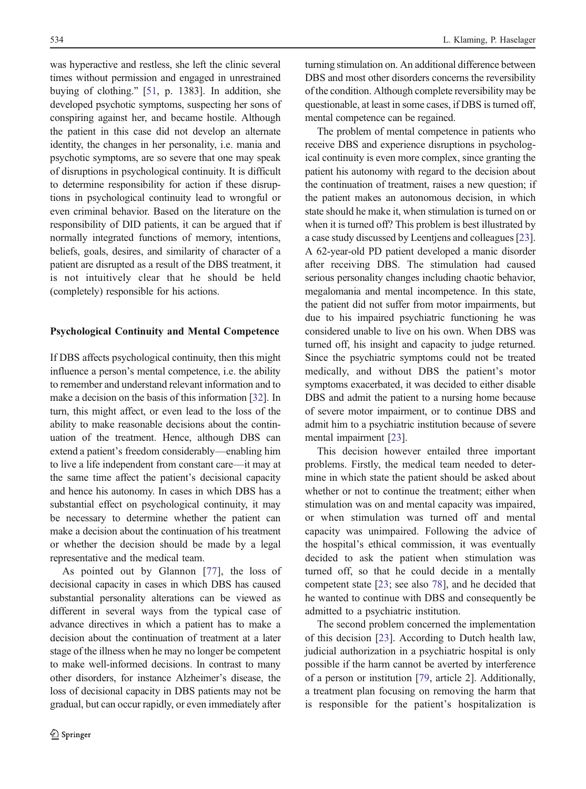was hyperactive and restless, she left the clinic several times without permission and engaged in unrestrained buying of clothing." [[51](#page-11-0), p. 1383]. In addition, she developed psychotic symptoms, suspecting her sons of conspiring against her, and became hostile. Although the patient in this case did not develop an alternate identity, the changes in her personality, i.e. mania and psychotic symptoms, are so severe that one may speak of disruptions in psychological continuity. It is difficult to determine responsibility for action if these disruptions in psychological continuity lead to wrongful or even criminal behavior. Based on the literature on the responsibility of DID patients, it can be argued that if normally integrated functions of memory, intentions, beliefs, goals, desires, and similarity of character of a patient are disrupted as a result of the DBS treatment, it is not intuitively clear that he should be held (completely) responsible for his actions.

#### Psychological Continuity and Mental Competence

If DBS affects psychological continuity, then this might influence a person's mental competence, i.e. the ability to remember and understand relevant information and to make a decision on the basis of this information [[32\]](#page-10-0). In turn, this might affect, or even lead to the loss of the ability to make reasonable decisions about the continuation of the treatment. Hence, although DBS can extend a patient's freedom considerably—enabling him to live a life independent from constant care—it may at the same time affect the patient's decisional capacity and hence his autonomy. In cases in which DBS has a substantial effect on psychological continuity, it may be necessary to determine whether the patient can make a decision about the continuation of his treatment or whether the decision should be made by a legal representative and the medical team.

As pointed out by Glannon [[77\]](#page-12-0), the loss of decisional capacity in cases in which DBS has caused substantial personality alterations can be viewed as different in several ways from the typical case of advance directives in which a patient has to make a decision about the continuation of treatment at a later stage of the illness when he may no longer be competent to make well-informed decisions. In contrast to many other disorders, for instance Alzheimer's disease, the loss of decisional capacity in DBS patients may not be gradual, but can occur rapidly, or even immediately after

turning stimulation on. An additional difference between DBS and most other disorders concerns the reversibility of the condition. Although complete reversibility may be questionable, at least in some cases, if DBS is turned off, mental competence can be regained.

The problem of mental competence in patients who receive DBS and experience disruptions in psychological continuity is even more complex, since granting the patient his autonomy with regard to the decision about the continuation of treatment, raises a new question; if the patient makes an autonomous decision, in which state should he make it, when stimulation is turned on or when it is turned off? This problem is best illustrated by a case study discussed by Leentjens and colleagues [[23\]](#page-10-0). A 62-year-old PD patient developed a manic disorder after receiving DBS. The stimulation had caused serious personality changes including chaotic behavior, megalomania and mental incompetence. In this state, the patient did not suffer from motor impairments, but due to his impaired psychiatric functioning he was considered unable to live on his own. When DBS was turned off, his insight and capacity to judge returned. Since the psychiatric symptoms could not be treated medically, and without DBS the patient's motor symptoms exacerbated, it was decided to either disable DBS and admit the patient to a nursing home because of severe motor impairment, or to continue DBS and admit him to a psychiatric institution because of severe mental impairment [\[23](#page-10-0)].

This decision however entailed three important problems. Firstly, the medical team needed to determine in which state the patient should be asked about whether or not to continue the treatment; either when stimulation was on and mental capacity was impaired, or when stimulation was turned off and mental capacity was unimpaired. Following the advice of the hospital's ethical commission, it was eventually decided to ask the patient when stimulation was turned off, so that he could decide in a mentally competent state [\[23](#page-10-0); see also [78](#page-12-0)], and he decided that he wanted to continue with DBS and consequently be admitted to a psychiatric institution.

The second problem concerned the implementation of this decision [[23\]](#page-10-0). According to Dutch health law, judicial authorization in a psychiatric hospital is only possible if the harm cannot be averted by interference of a person or institution [\[79](#page-12-0), article 2]. Additionally, a treatment plan focusing on removing the harm that is responsible for the patient's hospitalization is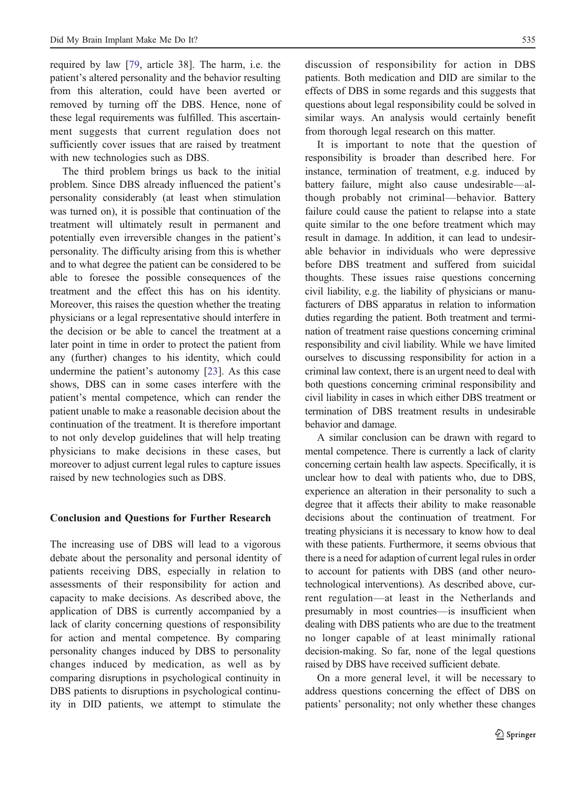required by law [\[79](#page-12-0), article 38]. The harm, i.e. the patient's altered personality and the behavior resulting from this alteration, could have been averted or removed by turning off the DBS. Hence, none of these legal requirements was fulfilled. This ascertainment suggests that current regulation does not sufficiently cover issues that are raised by treatment with new technologies such as DBS.

The third problem brings us back to the initial problem. Since DBS already influenced the patient's personality considerably (at least when stimulation was turned on), it is possible that continuation of the treatment will ultimately result in permanent and potentially even irreversible changes in the patient's personality. The difficulty arising from this is whether and to what degree the patient can be considered to be able to foresee the possible consequences of the treatment and the effect this has on his identity. Moreover, this raises the question whether the treating physicians or a legal representative should interfere in the decision or be able to cancel the treatment at a later point in time in order to protect the patient from any (further) changes to his identity, which could undermine the patient's autonomy [[23\]](#page-10-0). As this case shows, DBS can in some cases interfere with the patient's mental competence, which can render the patient unable to make a reasonable decision about the continuation of the treatment. It is therefore important to not only develop guidelines that will help treating physicians to make decisions in these cases, but moreover to adjust current legal rules to capture issues raised by new technologies such as DBS.

#### Conclusion and Questions for Further Research

The increasing use of DBS will lead to a vigorous debate about the personality and personal identity of patients receiving DBS, especially in relation to assessments of their responsibility for action and capacity to make decisions. As described above, the application of DBS is currently accompanied by a lack of clarity concerning questions of responsibility for action and mental competence. By comparing personality changes induced by DBS to personality changes induced by medication, as well as by comparing disruptions in psychological continuity in DBS patients to disruptions in psychological continuity in DID patients, we attempt to stimulate the

discussion of responsibility for action in DBS patients. Both medication and DID are similar to the effects of DBS in some regards and this suggests that questions about legal responsibility could be solved in similar ways. An analysis would certainly benefit from thorough legal research on this matter.

It is important to note that the question of responsibility is broader than described here. For instance, termination of treatment, e.g. induced by battery failure, might also cause undesirable—although probably not criminal—behavior. Battery failure could cause the patient to relapse into a state quite similar to the one before treatment which may result in damage. In addition, it can lead to undesirable behavior in individuals who were depressive before DBS treatment and suffered from suicidal thoughts. These issues raise questions concerning civil liability, e.g. the liability of physicians or manufacturers of DBS apparatus in relation to information duties regarding the patient. Both treatment and termination of treatment raise questions concerning criminal responsibility and civil liability. While we have limited ourselves to discussing responsibility for action in a criminal law context, there is an urgent need to deal with both questions concerning criminal responsibility and civil liability in cases in which either DBS treatment or termination of DBS treatment results in undesirable behavior and damage.

A similar conclusion can be drawn with regard to mental competence. There is currently a lack of clarity concerning certain health law aspects. Specifically, it is unclear how to deal with patients who, due to DBS, experience an alteration in their personality to such a degree that it affects their ability to make reasonable decisions about the continuation of treatment. For treating physicians it is necessary to know how to deal with these patients. Furthermore, it seems obvious that there is a need for adaption of current legal rules in order to account for patients with DBS (and other neurotechnological interventions). As described above, current regulation—at least in the Netherlands and presumably in most countries—is insufficient when dealing with DBS patients who are due to the treatment no longer capable of at least minimally rational decision-making. So far, none of the legal questions raised by DBS have received sufficient debate.

On a more general level, it will be necessary to address questions concerning the effect of DBS on patients' personality; not only whether these changes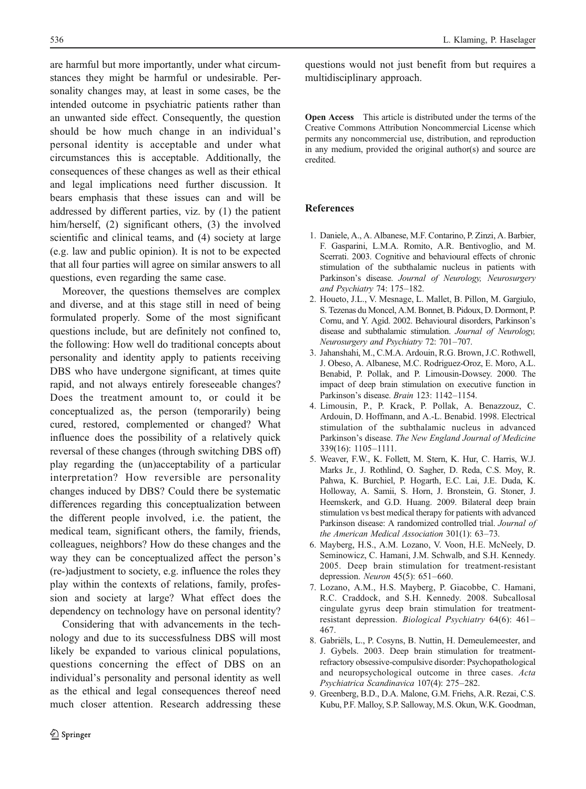<span id="page-9-0"></span>are harmful but more importantly, under what circumstances they might be harmful or undesirable. Personality changes may, at least in some cases, be the intended outcome in psychiatric patients rather than an unwanted side effect. Consequently, the question should be how much change in an individual's personal identity is acceptable and under what circumstances this is acceptable. Additionally, the consequences of these changes as well as their ethical and legal implications need further discussion. It bears emphasis that these issues can and will be addressed by different parties, viz. by (1) the patient him/herself, (2) significant others, (3) the involved scientific and clinical teams, and (4) society at large (e.g. law and public opinion). It is not to be expected that all four parties will agree on similar answers to all questions, even regarding the same case.

Moreover, the questions themselves are complex and diverse, and at this stage still in need of being formulated properly. Some of the most significant questions include, but are definitely not confined to, the following: How well do traditional concepts about personality and identity apply to patients receiving DBS who have undergone significant, at times quite rapid, and not always entirely foreseeable changes? Does the treatment amount to, or could it be conceptualized as, the person (temporarily) being cured, restored, complemented or changed? What influence does the possibility of a relatively quick reversal of these changes (through switching DBS off) play regarding the (un)acceptability of a particular interpretation? How reversible are personality changes induced by DBS? Could there be systematic differences regarding this conceptualization between the different people involved, i.e. the patient, the medical team, significant others, the family, friends, colleagues, neighbors? How do these changes and the way they can be conceptualized affect the person's (re-)adjustment to society, e.g. influence the roles they play within the contexts of relations, family, profession and society at large? What effect does the dependency on technology have on personal identity?

Considering that with advancements in the technology and due to its successfulness DBS will most likely be expanded to various clinical populations, questions concerning the effect of DBS on an individual's personality and personal identity as well as the ethical and legal consequences thereof need much closer attention. Research addressing these questions would not just benefit from but requires a multidisciplinary approach.

Open Access This article is distributed under the terms of the Creative Commons Attribution Noncommercial License which permits any noncommercial use, distribution, and reproduction in any medium, provided the original author(s) and source are credited.

### References

- 1. Daniele, A., A. Albanese, M.F. Contarino, P. Zinzi, A. Barbier, F. Gasparini, L.M.A. Romito, A.R. Bentivoglio, and M. Scerrati. 2003. Cognitive and behavioural effects of chronic stimulation of the subthalamic nucleus in patients with Parkinson's disease. Journal of Neurology, Neurosurgery and Psychiatry 74: 175–182.
- 2. Houeto, J.L., V. Mesnage, L. Mallet, B. Pillon, M. Gargiulo, S. Tezenas du Moncel, A.M. Bonnet, B. Pidoux, D. Dormont, P. Cornu, and Y. Agid. 2002. Behavioural disorders, Parkinson's disease and subthalamic stimulation. Journal of Neurology, Neurosurgery and Psychiatry 72: 701–707.
- 3. Jahanshahi, M., C.M.A. Ardouin, R.G. Brown, J.C. Rothwell, J. Obeso, A. Albanese, M.C. Rodriguez-Oroz, E. Moro, A.L. Benabid, P. Pollak, and P. Limousin-Dowsey. 2000. The impact of deep brain stimulation on executive function in Parkinson's disease. Brain 123: 1142–1154.
- 4. Limousin, P., P. Krack, P. Pollak, A. Benazzouz, C. Ardouin, D. Hoffmann, and A.-L. Benabid. 1998. Electrical stimulation of the subthalamic nucleus in advanced Parkinson's disease. The New England Journal of Medicine 339(16): 1105–1111.
- 5. Weaver, F.W., K. Follett, M. Stern, K. Hur, C. Harris, W.J. Marks Jr., J. Rothlind, O. Sagher, D. Reda, C.S. Moy, R. Pahwa, K. Burchiel, P. Hogarth, E.C. Lai, J.E. Duda, K. Holloway, A. Samii, S. Horn, J. Bronstein, G. Stoner, J. Heemskerk, and G.D. Huang. 2009. Bilateral deep brain stimulation vs best medical therapy for patients with advanced Parkinson disease: A randomized controlled trial. Journal of the American Medical Association 301(1): 63–73.
- 6. Mayberg, H.S., A.M. Lozano, V. Voon, H.E. McNeely, D. Seminowicz, C. Hamani, J.M. Schwalb, and S.H. Kennedy. 2005. Deep brain stimulation for treatment-resistant depression. Neuron 45(5): 651–660.
- 7. Lozano, A.M., H.S. Mayberg, P. Giacobbe, C. Hamani, R.C. Craddock, and S.H. Kennedy. 2008. Subcallosal cingulate gyrus deep brain stimulation for treatmentresistant depression. Biological Psychiatry 64(6): 461– 467.
- 8. Gabriëls, L., P. Cosyns, B. Nuttin, H. Demeulemeester, and J. Gybels. 2003. Deep brain stimulation for treatmentrefractory obsessive-compulsive disorder: Psychopathological and neuropsychological outcome in three cases. Acta Psychiatrica Scandinavica 107(4): 275–282.
- 9. Greenberg, B.D., D.A. Malone, G.M. Friehs, A.R. Rezai, C.S. Kubu, P.F. Malloy, S.P. Salloway, M.S. Okun, W.K. Goodman,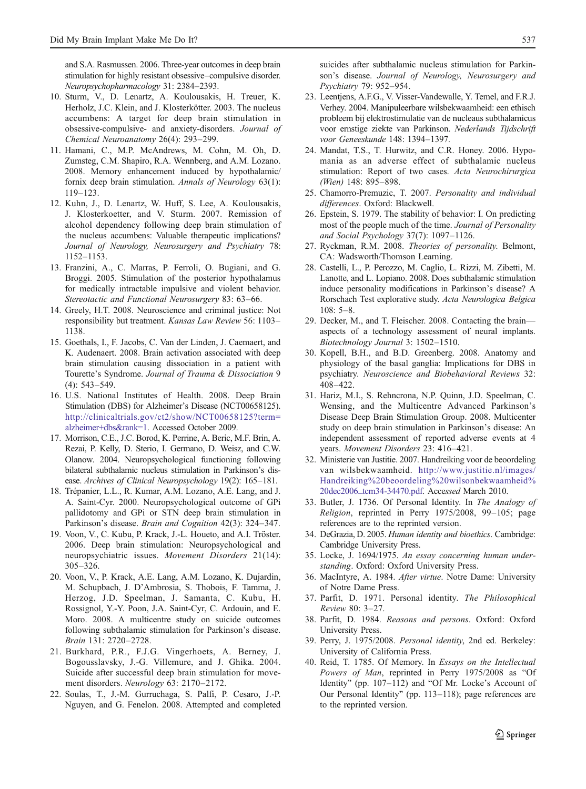<span id="page-10-0"></span>and S.A. Rasmussen. 2006. Three-year outcomes in deep brain stimulation for highly resistant obsessive–compulsive disorder. Neuropsychopharmacology 31: 2384–2393.

- 10. Sturm, V., D. Lenartz, A. Koulousakis, H. Treuer, K. Herholz, J.C. Klein, and J. Klosterkötter. 2003. The nucleus accumbens: A target for deep brain stimulation in obsessive-compulsive- and anxiety-disorders. Journal of Chemical Neuroanatomy 26(4): 293–299.
- 11. Hamani, C., M.P. McAndrews, M. Cohn, M. Oh, D. Zumsteg, C.M. Shapiro, R.A. Wennberg, and A.M. Lozano. 2008. Memory enhancement induced by hypothalamic/ fornix deep brain stimulation. Annals of Neurology 63(1): 119–123.
- 12. Kuhn, J., D. Lenartz, W. Huff, S. Lee, A. Koulousakis, J. Klosterkoetter, and V. Sturm. 2007. Remission of alcohol dependency following deep brain stimulation of the nucleus accumbens: Valuable therapeutic implications? Journal of Neurology, Neurosurgery and Psychiatry 78: 1152–1153.
- 13. Franzini, A., C. Marras, P. Ferroli, O. Bugiani, and G. Broggi. 2005. Stimulation of the posterior hypothalamus for medically intractable impulsive and violent behavior. Stereotactic and Functional Neurosurgery 83: 63–66.
- 14. Greely, H.T. 2008. Neuroscience and criminal justice: Not responsibility but treatment. Kansas Law Review 56: 1103– 1138.
- 15. Goethals, I., F. Jacobs, C. Van der Linden, J. Caemaert, and K. Audenaert. 2008. Brain activation associated with deep brain stimulation causing dissociation in a patient with Tourette's Syndrome. Journal of Trauma & Dissociation 9 (4): 543–549.
- 16. U.S. National Institutes of Health. 2008. Deep Brain Stimulation (DBS) for Alzheimer's Disease (NCT00658125). [http://clinicaltrials.gov/ct2/show/NCT00658125?term=](http://clinicaltrials.gov/ct2/show/NCT00658125?term=alzheimer+dbs&rank=1) [alzheimer+dbs&rank=1.](http://clinicaltrials.gov/ct2/show/NCT00658125?term=alzheimer+dbs&rank=1) Accessed October 2009.
- 17. Morrison, C.E., J.C. Borod, K. Perrine, A. Beric, M.F. Brin, A. Rezai, P. Kelly, D. Sterio, I. Germano, D. Weisz, and C.W. Olanow. 2004. Neuropsychological functioning following bilateral subthalamic nucleus stimulation in Parkinson's disease. Archives of Clinical Neuropsychology 19(2): 165–181.
- 18. Trépanier, L.L., R. Kumar, A.M. Lozano, A.E. Lang, and J. A. Saint-Cyr. 2000. Neuropsychological outcome of GPi pallidotomy and GPi or STN deep brain stimulation in Parkinson's disease. Brain and Cognition 42(3): 324–347.
- 19. Voon, V., C. Kubu, P. Krack, J.-L. Houeto, and A.I. Tröster. 2006. Deep brain stimulation: Neuropsychological and neuropsychiatric issues. Movement Disorders 21(14): 305–326.
- 20. Voon, V., P. Krack, A.E. Lang, A.M. Lozano, K. Dujardin, M. Schupbach, J. D'Ambrosia, S. Thobois, F. Tamma, J. Herzog, J.D. Speelman, J. Samanta, C. Kubu, H. Rossignol, Y.-Y. Poon, J.A. Saint-Cyr, C. Ardouin, and E. Moro. 2008. A multicentre study on suicide outcomes following subthalamic stimulation for Parkinson's disease. Brain 131: 2720–2728.
- 21. Burkhard, P.R., F.J.G. Vingerhoets, A. Berney, J. Bogousslavsky, J.-G. Villemure, and J. Ghika. 2004. Suicide after successful deep brain stimulation for movement disorders. Neurology 63: 2170–2172.
- 22. Soulas, T., J.-M. Gurruchaga, S. Palfi, P. Cesaro, J.-P. Nguyen, and G. Fenelon. 2008. Attempted and completed

suicides after subthalamic nucleus stimulation for Parkinson's disease. Journal of Neurology, Neurosurgery and Psychiatry 79: 952–954.

- 23. Leentjens, A.F.G., V. Visser-Vandewalle, Y. Temel, and F.R.J. Verhey. 2004. Manipuleerbare wilsbekwaamheid: een ethisch probleem bij elektrostimulatie van de nucleaus subthalamicus voor ernstige ziekte van Parkinson. Nederlands Tijdschrift voor Geneeskunde 148: 1394–1397.
- 24. Mandat, T.S., T. Hurwitz, and C.R. Honey. 2006. Hypomania as an adverse effect of subthalamic nucleus stimulation: Report of two cases. Acta Neurochirurgica (Wien) 148: 895–898.
- 25. Chamorro-Premuzic, T. 2007. Personality and individual differences. Oxford: Blackwell.
- 26. Epstein, S. 1979. The stability of behavior: I. On predicting most of the people much of the time. Journal of Personality and Social Psychology 37(7): 1097–1126.
- 27. Ryckman, R.M. 2008. Theories of personality. Belmont, CA: Wadsworth/Thomson Learning.
- 28. Castelli, L., P. Perozzo, M. Caglio, L. Rizzi, M. Zibetti, M. Lanotte, and L. Lopiano. 2008. Does subthalamic stimulation induce personality modifications in Parkinson's disease? A Rorschach Test explorative study. Acta Neurologica Belgica  $108 \cdot 5 - 8$
- 29. Decker, M., and T. Fleischer. 2008. Contacting the brain aspects of a technology assessment of neural implants. Biotechnology Journal 3: 1502–1510.
- 30. Kopell, B.H., and B.D. Greenberg. 2008. Anatomy and physiology of the basal ganglia: Implications for DBS in psychiatry. Neuroscience and Biobehavioral Reviews 32: 408–422.
- 31. Hariz, M.I., S. Rehncrona, N.P. Quinn, J.D. Speelman, C. Wensing, and the Multicentre Advanced Parkinson's Disease Deep Brain Stimulation Group. 2008. Multicenter study on deep brain stimulation in Parkinson's disease: An independent assessment of reported adverse events at 4 years. Movement Disorders 23: 416–421.
- 32. Ministerie van Justitie. 2007. Handreiking voor de beoordeling van wilsbekwaamheid. [http://www.justitie.nl/images/](http://www.justitie.nl/images/Handreiking%20beoordeling%20wilsonbekwaamheid%20dec2006_tcm34-34470.pdf) [Handreiking%20beoordeling%20wilsonbekwaamheid%](http://www.justitie.nl/images/Handreiking%20beoordeling%20wilsonbekwaamheid%20dec2006_tcm34-34470.pdf) [20dec2006\\_tcm34-34470.pdf.](http://www.justitie.nl/images/Handreiking%20beoordeling%20wilsonbekwaamheid%20dec2006_tcm34-34470.pdf) Accessed March 2010.
- 33. Butler, J. 1736. Of Personal Identity. In The Analogy of Religion, reprinted in Perry 1975/2008, 99–105; page references are to the reprinted version.
- 34. DeGrazia, D. 2005. Human identity and bioethics. Cambridge: Cambridge University Press.
- 35. Locke, J. 1694/1975. An essay concerning human understanding. Oxford: Oxford University Press.
- 36. MacIntyre, A. 1984. After virtue. Notre Dame: University of Notre Dame Press.
- 37. Parfit, D. 1971. Personal identity. The Philosophical Review 80: 3–27.
- 38. Parfit, D. 1984. Reasons and persons. Oxford: Oxford University Press.
- 39. Perry, J. 1975/2008. Personal identity, 2nd ed. Berkeley: University of California Press.
- 40. Reid, T. 1785. Of Memory. In Essays on the Intellectual Powers of Man, reprinted in Perry 1975/2008 as "Of Identity" (pp. 107–112) and "Of Mr. Locke's Account of Our Personal Identity" (pp. 113–118); page references are to the reprinted version.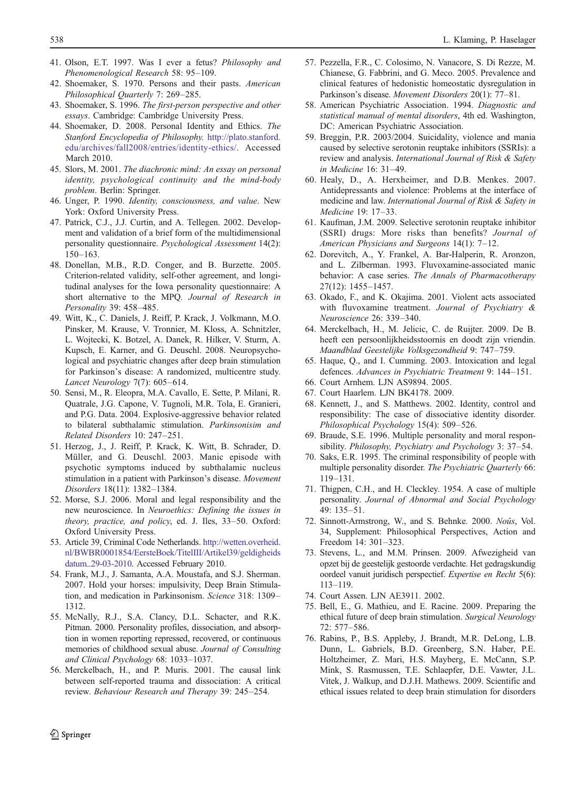- <span id="page-11-0"></span>41. Olson, E.T. 1997. Was I ever a fetus? Philosophy and Phenomenological Research 58: 95–109.
- 42. Shoemaker, S. 1970. Persons and their pasts. American Philosophical Quarterly 7: 269–285.
- 43. Shoemaker, S. 1996. The first-person perspective and other essays. Cambridge: Cambridge University Press.
- 44. Shoemaker, D. 2008. Personal Identity and Ethics. The Stanford Encyclopedia of Philosophy. [http://plato.stanford.](http://plato.stanford.edu/archives/fall2008/entries/identity-ethics/) [edu/archives/fall2008/entries/identity-ethics/.](http://plato.stanford.edu/archives/fall2008/entries/identity-ethics/) Accessed March 2010.
- 45. Slors, M. 2001. The diachronic mind: An essay on personal identity, psychological continuity and the mind-body problem. Berlin: Springer.
- 46. Unger, P. 1990. Identity, consciousness, and value. New York: Oxford University Press.
- 47. Patrick, C.J., J.J. Curtin, and A. Tellegen. 2002. Development and validation of a brief form of the multidimensional personality questionnaire. Psychological Assessment 14(2): 150–163.
- 48. Donellan, M.B., R.D. Conger, and B. Burzette. 2005. Criterion-related validity, self-other agreement, and longitudinal analyses for the Iowa personality questionnaire: A short alternative to the MPQ. Journal of Research in Personality 39: 458–485.
- 49. Witt, K., C. Daniels, J. Reiff, P. Krack, J. Volkmann, M.O. Pinsker, M. Krause, V. Tronnier, M. Kloss, A. Schnitzler, L. Wojtecki, K. Botzel, A. Danek, R. Hilker, V. Sturm, A. Kupsch, E. Karner, and G. Deuschl. 2008. Neuropsychological and psychiatric changes after deep brain stimulation for Parkinson's disease: A randomized, multicentre study. Lancet Neurology 7(7): 605–614.
- 50. Sensi, M., R. Eleopra, M.A. Cavallo, E. Sette, P. Milani, R. Quatrale, J.G. Capone, V. Tugnoli, M.R. Tola, E. Granieri, and P.G. Data. 2004. Explosive-aggressive behavior related to bilateral subthalamic stimulation. Parkinsonisim and Related Disorders 10: 247–251.
- 51. Herzog, J., J. Reiff, P. Krack, K. Witt, B. Schrader, D. Müller, and G. Deuschl. 2003. Manic episode with psychotic symptoms induced by subthalamic nucleus stimulation in a patient with Parkinson's disease. Movement Disorders 18(11): 1382–1384.
- 52. Morse, S.J. 2006. Moral and legal responsibility and the new neuroscience. In Neuroethics: Defining the issues in theory, practice, and policy, ed. J. Iles, 33–50. Oxford: Oxford University Press.
- 53. Article 39, Criminal Code Netherlands. [http://wetten.overheid.](http://wetten.overheid.nl/BWBR0001854/EersteBoek/TitelIII/Artikel39/geldigheidsdatum_29-03-2010) [nl/BWBR0001854/EersteBoek/TitelIII/Artikel39/geldigheids](http://wetten.overheid.nl/BWBR0001854/EersteBoek/TitelIII/Artikel39/geldigheidsdatum_29-03-2010) [datum\\_29-03-2010.](http://wetten.overheid.nl/BWBR0001854/EersteBoek/TitelIII/Artikel39/geldigheidsdatum_29-03-2010) Accessed February 2010.
- 54. Frank, M.J., J. Samanta, A.A. Moustafa, and S.J. Sherman. 2007. Hold your horses: impulsivity, Deep Brain Stimulation, and medication in Parkinsonism. Science 318: 1309– 1312.
- 55. McNally, R.J., S.A. Clancy, D.L. Schacter, and R.K. Pitman. 2000. Personality profiles, dissociation, and absorption in women reporting repressed, recovered, or continuous memories of childhood sexual abuse. Journal of Consulting and Clinical Psychology 68: 1033–1037.
- 56. Merckelbach, H., and P. Muris. 2001. The causal link between self-reported trauma and dissociation: A critical review. Behaviour Research and Therapy 39: 245–254.
- 57. Pezzella, F.R., C. Colosimo, N. Vanacore, S. Di Rezze, M. Chianese, G. Fabbrini, and G. Meco. 2005. Prevalence and clinical features of hedonistic homeostatic dysregulation in Parkinson's disease. Movement Disorders 20(1): 77–81.
- 58. American Psychiatric Association. 1994. Diagnostic and statistical manual of mental disorders, 4th ed. Washington, DC: American Psychiatric Association.
- 59. Breggin, P.R. 2003/2004. Suicidality, violence and mania caused by selective serotonin reuptake inhibitors (SSRIs): a review and analysis. International Journal of Risk & Safety in Medicine 16: 31–49.
- 60. Healy, D., A. Herxheimer, and D.B. Menkes. 2007. Antidepressants and violence: Problems at the interface of medicine and law. International Journal of Risk & Safety in Medicine 19: 17–33.
- 61. Kaufman, J.M. 2009. Selective serotonin reuptake inhibitor (SSRI) drugs: More risks than benefits? Journal of American Physicians and Surgeons 14(1): 7–12.
- 62. Dorevitch, A., Y. Frankel, A. Bar-Halperin, R. Aronzon, and L. Zilberman. 1993. Fluvoxamine-associated manic behavior: A case series. The Annals of Pharmacotherapy 27(12): 1455–1457.
- 63. Okado, F., and K. Okajima. 2001. Violent acts associated with fluvoxamine treatment. Journal of Psychiatry & Neuroscience 26: 339–340.
- 64. Merckelbach, H., M. Jelicic, C. de Ruijter. 2009. De B. heeft een persoonlijkheidsstoornis en doodt zijn vriendin. Maandblad Geestelijke Volksgezondheid 9: 747–759.
- 65. Haque, Q., and I. Cumming. 2003. Intoxication and legal defences. Advances in Psychiatric Treatment 9: 144–151.
- 66. Court Arnhem. LJN AS9894. 2005.
- 67. Court Haarlem. LJN BK4178. 2009.
- 68. Kennett, J., and S. Matthews. 2002. Identity, control and responsibility: The case of dissociative identity disorder. Philosophical Psychology 15(4): 509–526.
- 69. Braude, S.E. 1996. Multiple personality and moral responsibility. Philosophy, Psychiatry and Psychology 3: 37–54.
- 70. Saks, E.R. 1995. The criminal responsibility of people with multiple personality disorder. The Psychiatric Quarterly 66: 119–131.
- 71. Thigpen, C.H., and H. Cleckley. 1954. A case of multiple personality. Journal of Abnormal and Social Psychology 49: 135–51.
- 72. Sinnott-Armstrong, W., and S. Behnke. 2000. Noûs, Vol. 34, Supplement: Philosophical Perspectives, Action and Freedom 14: 301–323.
- 73. Stevens, L., and M.M. Prinsen. 2009. Afwezigheid van opzet bij de geestelijk gestoorde verdachte. Het gedragskundig oordeel vanuit juridisch perspectief. Expertise en Recht 5(6): 113–119.
- 74. Court Assen. LJN AE3911. 2002.
- 75. Bell, E., G. Mathieu, and E. Racine. 2009. Preparing the ethical future of deep brain stimulation. Surgical Neurology 72: 577–586.
- 76. Rabins, P., B.S. Appleby, J. Brandt, M.R. DeLong, L.B. Dunn, L. Gabriels, B.D. Greenberg, S.N. Haber, P.E. Holtzheimer, Z. Mari, H.S. Mayberg, E. McCann, S.P. Mink, S. Rasmussen, T.E. Schlaepfer, D.E. Vawter, J.L. Vitek, J. Walkup, and D.J.H. Mathews. 2009. Scientific and ethical issues related to deep brain stimulation for disorders